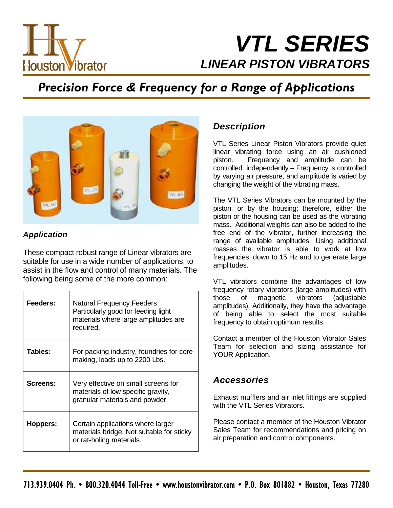

# *VTL SERIES LINEAR PISTON VIBRATORS*

## *Precision Force & Frequency for a Range of Applications*



#### *Application*

These compact robust range of Linear vibrators are suitable for use in a wide number of applications, to assist in the flow and control of many materials. The following being some of the more common:

| Feeders: | <b>Natural Frequency Feeders</b><br>Particularly good for feeding light<br>materials where large amplitudes are<br>required. |
|----------|------------------------------------------------------------------------------------------------------------------------------|
| Tables:  | For packing industry, foundries for core<br>making, loads up to 2200 Lbs.                                                    |
| Screens: | Very effective on small screens for<br>materials of low specific gravity,<br>granular materials and powder.                  |
| Hoppers: | Certain applications where larger<br>materials bridge. Not suitable for sticky<br>or rat-holing materials.                   |

### *Description*

VTL Series Linear Piston Vibrators provide quiet linear vibrating force using an air cushioned piston. Frequency and amplitude can be controlled independently - Frequency is controlled by varying air pressure, and amplitude is varied by changing the weight of the vibrating mass.

The VTL Series Vibrators can be mounted by the piston, or by the housing; therefore, either the piston or the housing can be used as the vibrating mass. Additional weights can also be added to the free end of the vibrator, further increasing the range of available amplitudes. Using additional masses the vibrator is able to work at low frequencies, down to 15 Hz and to generate large amplitudes.

VTL vibrators combine the advantages of low frequency rotary vibrators (large amplitudes) with those of magnetic vibrators (adjustable amplitudes). Additionally, they have the advantage of being able to select the most suitable frequency to obtain optimum results.

Contact a member of the Houston Vibrator Sales Team for selection and sizing assistance for YOUR Application.

#### *Accessories*

Exhaust mufflers and air inlet fittings are supplied with the VTL Series Vibrators.

Please contact a member of the Houston Vibrator Sales Team for recommendations and pricing on air preparation and control components.